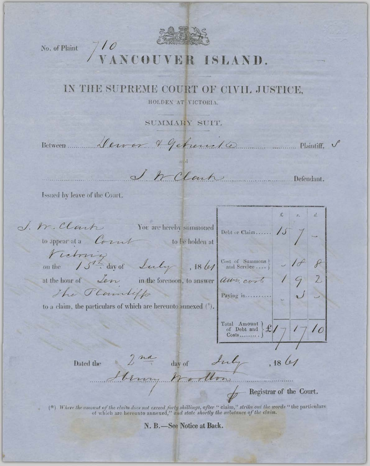

## VOOT VER ISLAND.

## IN THE SUPREME COURT OF CIVIL JUSTICE.

HOLDEN AT VICTORIA.

SUMMARY SUIT.

lewer & Gebreuchter Plaintiff, V Between

I h Clark Defendant. Issued by leave of the Court.  $\overline{d}$ I. Fr. Clark You are hereby summoned Debt or Claim......  $\sqrt{2}$ to appear at a Court to be holden at

Victoria

on the 15<sup>12</sup> day of Lucky, 1861

at the hour of *Lern* in the forenoon, to answer aun cort

to a claim, the particulars of which are hereunto annexed (\*).

The Plannliffs

Dated the

2 mai day of Suly , 18 61

 $10^{\circ}$ 

 $\mathcal{S}$ 

 $10$ 

Cost of Summons }<br>and Service .... }

Paying in..........

 $\left.\begin{array}{l}\text{Total Amount}\\\text{of Debt and}\\\text{Costs}.\text{........}\end{array}\right\} \mathbf{\pounds} \pmb{\mathcal{L}}$ 

(\*) Where the amount of the claim does not exceed forty shillings, after "claim," strike out the words "the particulars of which are hereunto annexed," and state shortly the substance of the claim.

N. B.-See Notice at Back.